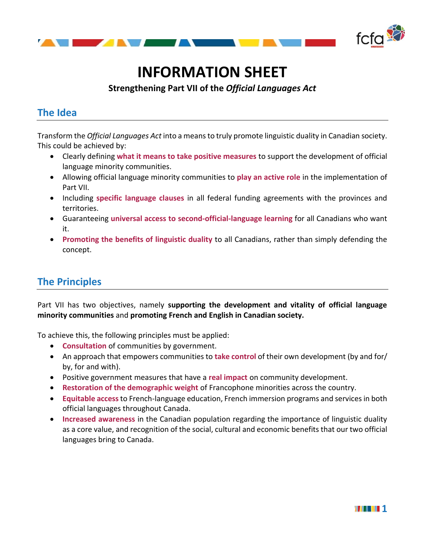

# **INFORMATION SHEET**

**Strengthening Part VII of the** *Official Languages Act*

# **The Idea**

Transform the *Official Languages Act* into a means to truly promote linguistic duality in Canadian society. This could be achieved by:

- Clearly defining **what it means to take positive measures** to support the development of official language minority communities.
- Allowing official language minority communities to **play an active role** in the implementation of Part VII.
- Including **specific language clauses** in all federal funding agreements with the provinces and territories.
- Guaranteeing **universal access to second-official-language learning** for all Canadians who want it.
- **Promoting the benefits of linguistic duality** to all Canadians, rather than simply defending the concept.

## **The Principles**

Part VII has two objectives, namely **supporting the development and vitality of official language minority communities** and **promoting French and English in Canadian society.**

To achieve this, the following principles must be applied:

- **Consultation** of communities by government.
- An approach that empowers communities to **take control** of their own development (by and for/ by, for and with).
- Positive government measures that have a **real impact** on community development.
- **Restoration of the demographic weight** of Francophone minorities across the country.
- **Equitable access**to French-language education, French immersion programs and services in both official languages throughout Canada.
- **Increased awareness** in the Canadian population regarding the importance of linguistic duality as a core value, and recognition of the social, cultural and economic benefits that our two official languages bring to Canada.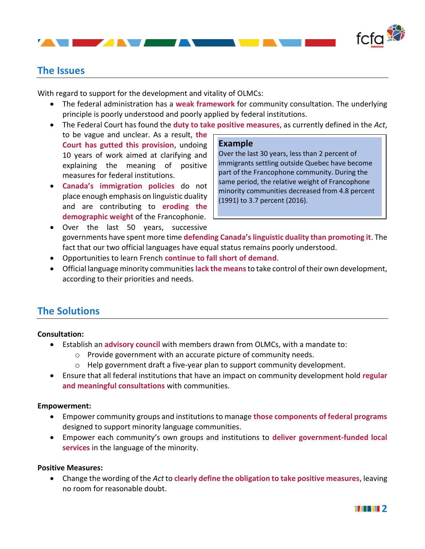

### **The Issues**

With regard to support for the development and vitality of OLMCs:

AT AN AN A

- The federal administration has a **weak framework** for community consultation. The underlying principle is poorly understood and poorly applied by federal institutions.
- The Federal Court has found the **duty to take positive measures**, as currently defined in the *Act*,
- to be vague and unclear. As a result, **the Court has gutted this provision**, undoing 10 years of work aimed at clarifying and explaining the meaning of positive measures for federal institutions.
- **Canada's immigration policies** do not place enough emphasis on linguistic duality and are contributing to **eroding the demographic weight** of the Francophonie.

#### **Example**

Over the last 30 years, less than 2 percent of immigrants settling outside Quebec have become part of the Francophone community. During the same period, the relative weight of Francophone minority communities decreased from 4.8 percent (1991) to 3.7 percent (2016).

- Over the last 50 years, successive governments have spent more time **defending Canada's linguistic duality than promoting it**. The fact that our two official languages have equal status remains poorly understood.
- Opportunities to learn French **continue to fall short of demand**.
- Official language minority communities **lack the means**to take control of their own development, according to their priorities and needs.

## **The Solutions**

#### **Consultation:**

- Establish an **advisory council** with members drawn from OLMCs, with a mandate to:
	- o Provide government with an accurate picture of community needs.
	- $\circ$  Help government draft a five-year plan to support community development.
- Ensure that all federal institutions that have an impact on community development hold **regular and meaningful consultations** with communities.

#### **Empowerment:**

- Empower community groups and institutions to manage **those components of federal programs** designed to support minority language communities.
- Empower each community's own groups and institutions to **deliver government-funded local services** in the language of the minority.

#### **Positive Measures:**

• Change the wording of the *Act* to **clearly define the obligation to take positive measures**, leaving no room for reasonable doubt.